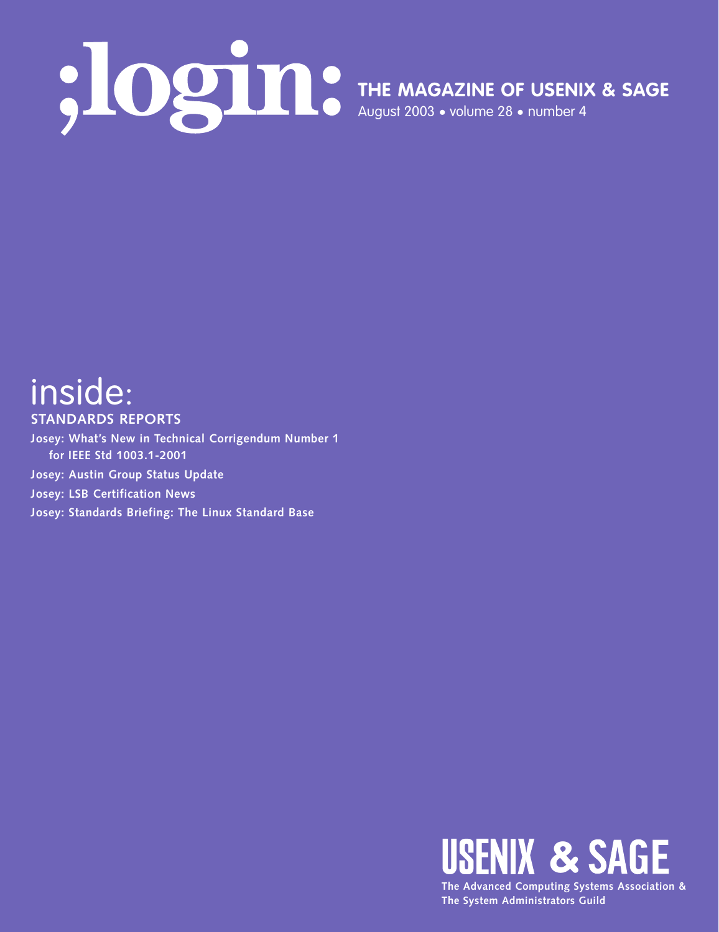**THE MAGAZINE OF USENIX & SAGE**

August 2003 • volume 28 • number 4

# inside: **STANDARDS REPORTS**

**Josey: What's New in Technical Corrigendum Number 1 for IEEE Std 1003.1-2001 Josey: Austin Group Status Update Josey: LSB Certification News Josey: Standards Briefing: The Linux Standard Base**



**The System Administrators Guild**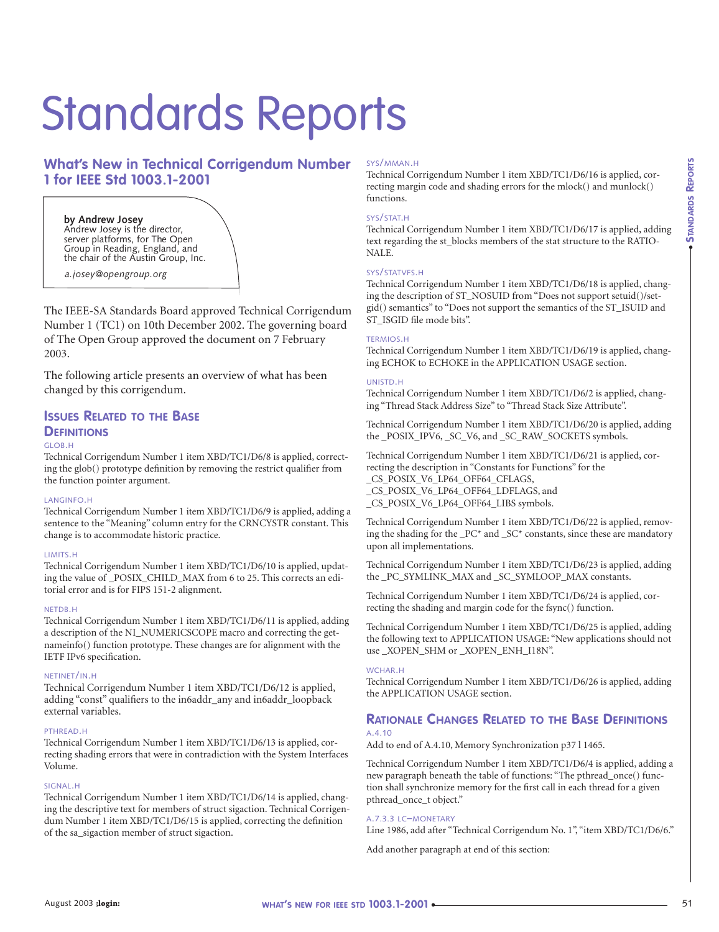# Standards Reports

# **What's New in Technical Corrigendum Number 1 for IEEE Std 1003.1-2001**

#### **by Andrew Josey**  Andrew Josey is the director, server platforms, for The Open Group in Reading, England, and the chair of the Austin Group, Inc.

*a.josey@opengroup.org*

The IEEE-SA Standards Board approved Technical Corrigendum Number 1 (TC1) on 10th December 2002. The governing board of The Open Group approved the document on 7 February 2003.

The following article presents an overview of what has been changed by this corrigendum.

# **ISSUES RELATED TO THE BASE DEFINITIONS**

# GLOB.H

Technical Corrigendum Number 1 item XBD/TC1/D6/8 is applied, correcting the glob() prototype definition by removing the restrict qualifier from the function pointer argument.

# LANGINFO.H

Technical Corrigendum Number 1 item XBD/TC1/D6/9 is applied, adding a sentence to the "Meaning" column entry for the CRNCYSTR constant. This change is to accommodate historic practice.

# LIMITS.H

Technical Corrigendum Number 1 item XBD/TC1/D6/10 is applied, updating the value of \_POSIX\_CHILD\_MAX from 6 to 25. This corrects an editorial error and is for FIPS 151-2 alignment.

#### NETDB.H

Technical Corrigendum Number 1 item XBD/TC1/D6/11 is applied, adding a description of the NI\_NUMERICSCOPE macro and correcting the getnameinfo() function prototype. These changes are for alignment with the IETF IPv6 specification.

#### NETINET/IN.H

Technical Corrigendum Number 1 item XBD/TC1/D6/12 is applied, adding "const" qualifiers to the in6addr\_any and in6addr\_loopback external variables.

# PTHREAD.H

Technical Corrigendum Number 1 item XBD/TC1/D6/13 is applied, correcting shading errors that were in contradiction with the System Interfaces Volume.

#### SIGNAL.H

Technical Corrigendum Number 1 item XBD/TC1/D6/14 is applied, changing the descriptive text for members of struct sigaction. Technical Corrigendum Number 1 item XBD/TC1/D6/15 is applied, correcting the definition of the sa\_sigaction member of struct sigaction.

#### SYS/MMAN.H

Technical Corrigendum Number 1 item XBD/TC1/D6/16 is applied, correcting margin code and shading errors for the mlock() and munlock() functions.

# SYS/STAT.H

Technical Corrigendum Number 1 item XBD/TC1/D6/17 is applied, adding text regarding the st\_blocks members of the stat structure to the RATIO-NALE.

#### SYS/STATVFS.H

Technical Corrigendum Number 1 item XBD/TC1/D6/18 is applied, changing the description of ST\_NOSUID from "Does not support setuid()/setgid() semantics" to "Does not support the semantics of the ST\_ISUID and ST\_ISGID file mode bits".

# TERMIOS.H

Technical Corrigendum Number 1 item XBD/TC1/D6/19 is applied, changing ECHOK to ECHOKE in the APPLICATION USAGE section.

#### UNISTD.H

Technical Corrigendum Number 1 item XBD/TC1/D6/2 is applied, changing "Thread Stack Address Size" to "Thread Stack Size Attribute".

Technical Corrigendum Number 1 item XBD/TC1/D6/20 is applied, adding the \_POSIX\_IPV6, \_SC\_V6, and \_SC\_RAW\_SOCKETS symbols.

Technical Corrigendum Number 1 item XBD/TC1/D6/21 is applied, correcting the description in "Constants for Functions" for the \_CS\_POSIX\_V6\_LP64\_OFF64\_CFLAGS, \_CS\_POSIX\_V6\_LP64\_OFF64\_LDFLAGS, and

\_CS\_POSIX\_V6\_LP64\_OFF64\_LIBS symbols.

Technical Corrigendum Number 1 item XBD/TC1/D6/22 is applied, removing the shading for the \_PC\* and \_SC\* constants, since these are mandatory upon all implementations.

Technical Corrigendum Number 1 item XBD/TC1/D6/23 is applied, adding the \_PC\_SYMLINK\_MAX and \_SC\_SYMLOOP\_MAX constants.

Technical Corrigendum Number 1 item XBD/TC1/D6/24 is applied, correcting the shading and margin code for the fsync() function.

Technical Corrigendum Number 1 item XBD/TC1/D6/25 is applied, adding the following text to APPLICATION USAGE: "New applications should not use \_XOPEN\_SHM or \_XOPEN\_ENH\_I18N".

#### WCHAR.H

Technical Corrigendum Number 1 item XBD/TC1/D6/26 is applied, adding the APPLICATION USAGE section.

# **RATIONALE CHANGES RELATED TO THE BASE DEFINITIONS** A.4.10

Add to end of A.4.10, Memory Synchronization p37 l 1465.

Technical Corrigendum Number 1 item XBD/TC1/D6/4 is applied, adding a new paragraph beneath the table of functions: "The pthread\_once() function shall synchronize memory for the first call in each thread for a given pthread\_once\_t object."

#### A.7.3.3 LC–MONETARY

Line 1986, add after "Technical Corrigendum No. 1", "item XBD/TC1/D6/6."

Add another paragraph at end of this section: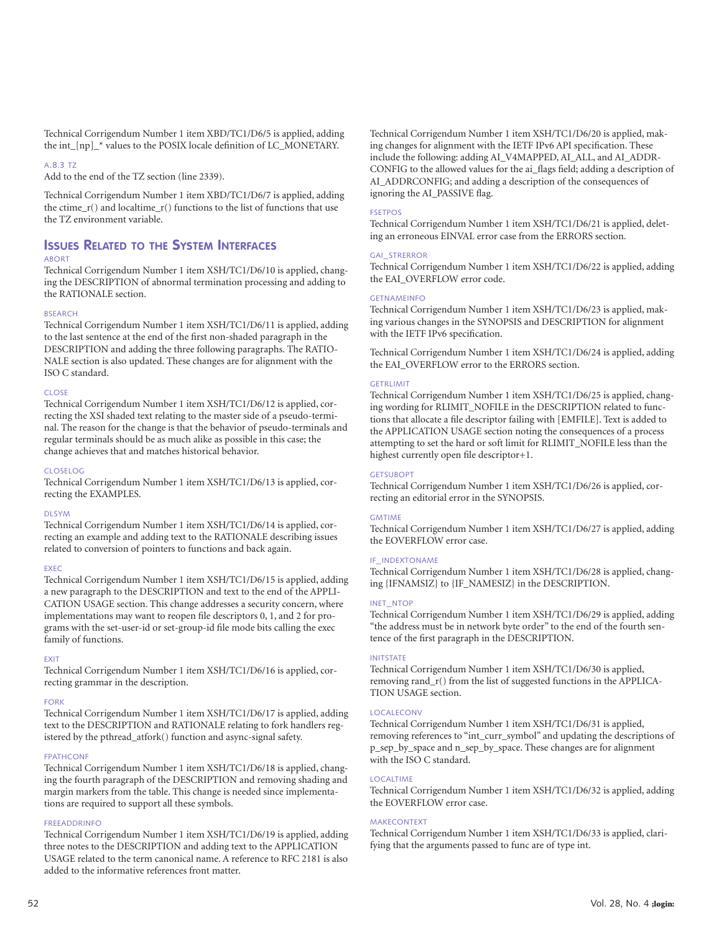Technical Corrigendum Number 1 item XBD/TC1/D6/5 is applied, adding the int\_[np]\_\* values to the POSIX locale definition of LC\_MONETARY.

#### A.8.3 TZ

Add to the end of the TZ section (line 2339).

Technical Corrigendum Number 1 item XBD/TC1/D6/7 is applied, adding the ctime\_r() and localtime\_r() functions to the list of functions that use the TZ environment variable.

# **ISSUES RELATED TO THE SYSTEM INTERFACES**

# ABORT

Technical Corrigendum Number 1 item XSH/TC1/D6/10 is applied, changing the DESCRIPTION of abnormal termination processing and adding to the RATIONALE section.

# BSEARCH

Technical Corrigendum Number 1 item XSH/TC1/D6/11 is applied, adding to the last sentence at the end of the first non-shaded paragraph in the DESCRIPTION and adding the three following paragraphs. The RATIO-NALE section is also updated. These changes are for alignment with the ISO C standard.

#### CLOSE

Technical Corrigendum Number 1 item XSH/TC1/D6/12 is applied, correcting the XSI shaded text relating to the master side of a pseudo-terminal. The reason for the change is that the behavior of pseudo-terminals and regular terminals should be as much alike as possible in this case; the change achieves that and matches historical behavior.

#### CLOSELOG

Technical Corrigendum Number 1 item XSH/TC1/D6/13 is applied, correcting the EXAMPLES.

#### DLSYM

Technical Corrigendum Number 1 item XSH/TC1/D6/14 is applied, correcting an example and adding text to the RATIONALE describing issues related to conversion of pointers to functions and back again.

#### EXEC

Technical Corrigendum Number 1 item XSH/TC1/D6/15 is applied, adding a new paragraph to the DESCRIPTION and text to the end of the APPLI-CATION USAGE section. This change addresses a security concern, where implementations may want to reopen file descriptors 0, 1, and 2 for programs with the set-user-id or set-group-id file mode bits calling the exec family of functions.

# EXIT

Technical Corrigendum Number 1 item XSH/TC1/D6/16 is applied, correcting grammar in the description.

# FORK

Technical Corrigendum Number 1 item XSH/TC1/D6/17 is applied, adding text to the DESCRIPTION and RATIONALE relating to fork handlers registered by the pthread\_atfork() function and async-signal safety.

# FPATHCONF

Technical Corrigendum Number 1 item XSH/TC1/D6/18 is applied, changing the fourth paragraph of the DESCRIPTION and removing shading and margin markers from the table. This change is needed since implementations are required to support all these symbols.

# FREEADDRINFO

Technical Corrigendum Number 1 item XSH/TC1/D6/19 is applied, adding three notes to the DESCRIPTION and adding text to the APPLICATION USAGE related to the term canonical name. A reference to RFC 2181 is also added to the informative references front matter.

Technical Corrigendum Number 1 item XSH/TC1/D6/20 is applied, making changes for alignment with the IETF IPv6 API specification. These include the following: adding AI\_V4MAPPED, AI\_ALL, and AI\_ADDR-CONFIG to the allowed values for the ai\_flags field; adding a description of AI\_ADDRCONFIG; and adding a description of the consequences of ignoring the AI\_PASSIVE flag.

# FSETPOS

Technical Corrigendum Number 1 item XSH/TC1/D6/21 is applied, deleting an erroneous EINVAL error case from the ERRORS section.

#### GAI\_STRERROR

Technical Corrigendum Number 1 item XSH/TC1/D6/22 is applied, adding the EAI\_OVERFLOW error code.

#### GETNAMEINFO

Technical Corrigendum Number 1 item XSH/TC1/D6/23 is applied, making various changes in the SYNOPSIS and DESCRIPTION for alignment with the IETF IPv6 specification.

Technical Corrigendum Number 1 item XSH/TC1/D6/24 is applied, adding the EAI\_OVERFLOW error to the ERRORS section.

#### GETRLIMIT

Technical Corrigendum Number 1 item XSH/TC1/D6/25 is applied, changing wording for RLIMIT\_NOFILE in the DESCRIPTION related to functions that allocate a file descriptor failing with [EMFILE]. Text is added to the APPLICATION USAGE section noting the consequences of a process attempting to set the hard or soft limit for RLIMIT\_NOFILE less than the highest currently open file descriptor+1.

# **GETSUBOPT**

Technical Corrigendum Number 1 item XSH/TC1/D6/26 is applied, correcting an editorial error in the SYNOPSIS.

#### GMTIME

Technical Corrigendum Number 1 item XSH/TC1/D6/27 is applied, adding the EOVERFLOW error case.

# IF\_INDEXTONAME

Technical Corrigendum Number 1 item XSH/TC1/D6/28 is applied, changing {IFNAMSIZ} to {IF\_NAMESIZ} in the DESCRIPTION.

# INET\_NTOP

Technical Corrigendum Number 1 item XSH/TC1/D6/29 is applied, adding "the address must be in network byte order" to the end of the fourth sentence of the first paragraph in the DESCRIPTION.

# INITSTATE

Technical Corrigendum Number 1 item XSH/TC1/D6/30 is applied, removing rand\_r() from the list of suggested functions in the APPLICA-TION USAGE section.

# LOCALECONV

Technical Corrigendum Number 1 item XSH/TC1/D6/31 is applied, removing references to "int\_curr\_symbol" and updating the descriptions of p\_sep\_by\_space and n\_sep\_by\_space. These changes are for alignment with the ISO C standard.

# LOCALTIME

Technical Corrigendum Number 1 item XSH/TC1/D6/32 is applied, adding the EOVERFLOW error case.

#### **MAKECONTEXT**

Technical Corrigendum Number 1 item XSH/TC1/D6/33 is applied, clarifying that the arguments passed to func are of type int.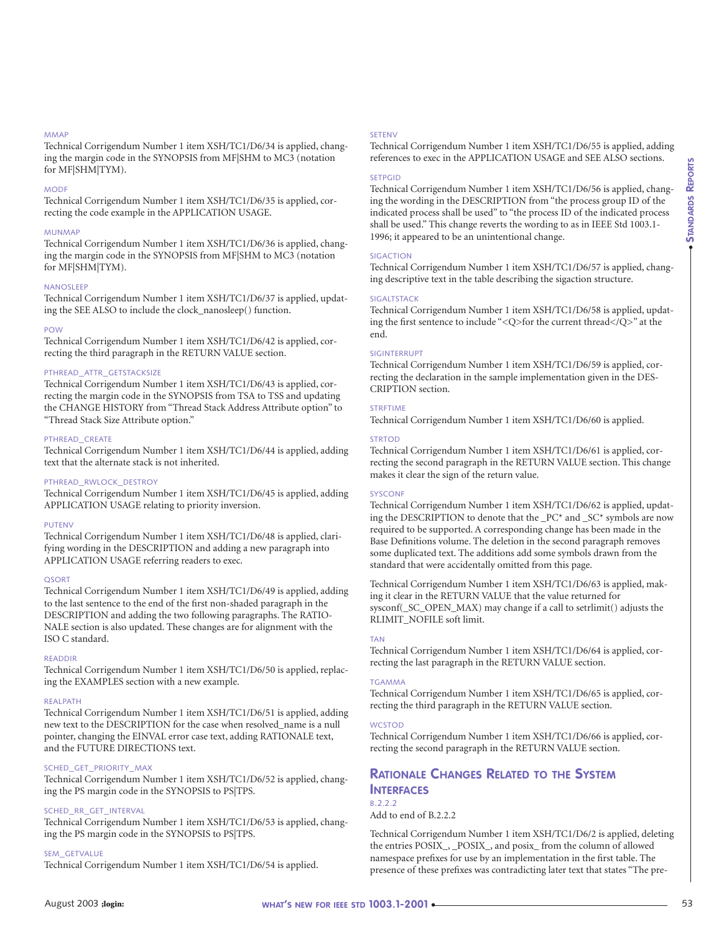# MMAP

Technical Corrigendum Number 1 item XSH/TC1/D6/34 is applied, changing the margin code in the SYNOPSIS from MF|SHM to MC3 (notation for MF|SHM|TYM).

#### MODF

Technical Corrigendum Number 1 item XSH/TC1/D6/35 is applied, correcting the code example in the APPLICATION USAGE.

#### MUNMAP

Technical Corrigendum Number 1 item XSH/TC1/D6/36 is applied, changing the margin code in the SYNOPSIS from MF|SHM to MC3 (notation for MF|SHM|TYM).

#### NANOSLEEP

Technical Corrigendum Number 1 item XSH/TC1/D6/37 is applied, updating the SEE ALSO to include the clock\_nanosleep() function.

#### POW

Technical Corrigendum Number 1 item XSH/TC1/D6/42 is applied, correcting the third paragraph in the RETURN VALUE section.

#### PTHREAD\_ATTR\_GETSTACKSIZE

Technical Corrigendum Number 1 item XSH/TC1/D6/43 is applied, correcting the margin code in the SYNOPSIS from TSA to TSS and updating the CHANGE HISTORY from "Thread Stack Address Attribute option" to "Thread Stack Size Attribute option."

#### PTHREAD\_CREATE

Technical Corrigendum Number 1 item XSH/TC1/D6/44 is applied, adding text that the alternate stack is not inherited.

#### PTHREAD\_RWLOCK\_DESTROY

Technical Corrigendum Number 1 item XSH/TC1/D6/45 is applied, adding APPLICATION USAGE relating to priority inversion.

#### PUTENV

Technical Corrigendum Number 1 item XSH/TC1/D6/48 is applied, clarifying wording in the DESCRIPTION and adding a new paragraph into APPLICATION USAGE referring readers to exec.

#### QSORT

Technical Corrigendum Number 1 item XSH/TC1/D6/49 is applied, adding to the last sentence to the end of the first non-shaded paragraph in the DESCRIPTION and adding the two following paragraphs. The RATIO-NALE section is also updated. These changes are for alignment with the ISO C standard.

# READDIR

Technical Corrigendum Number 1 item XSH/TC1/D6/50 is applied, replacing the EXAMPLES section with a new example.

#### REALPATH

Technical Corrigendum Number 1 item XSH/TC1/D6/51 is applied, adding new text to the DESCRIPTION for the case when resolved\_name is a null pointer, changing the EINVAL error case text, adding RATIONALE text, and the FUTURE DIRECTIONS text.

#### SCHED\_GET\_PRIORITY\_MAX

Technical Corrigendum Number 1 item XSH/TC1/D6/52 is applied, changing the PS margin code in the SYNOPSIS to PS|TPS.

# SCHED\_RR\_GET\_INTERVAL

Technical Corrigendum Number 1 item XSH/TC1/D6/53 is applied, changing the PS margin code in the SYNOPSIS to PS|TPS.

#### SEM\_GETVALUE

Technical Corrigendum Number 1 item XSH/TC1/D6/54 is applied.

#### **SETENV**

Technical Corrigendum Number 1 item XSH/TC1/D6/55 is applied, adding references to exec in the APPLICATION USAGE and SEE ALSO sections.

# **SETPGID**

Technical Corrigendum Number 1 item XSH/TC1/D6/56 is applied, changing the wording in the DESCRIPTION from "the process group ID of the indicated process shall be used" to "the process ID of the indicated process shall be used." This change reverts the wording to as in IEEE Std 1003.1- 1996; it appeared to be an unintentional change.

#### SIGACTION

Technical Corrigendum Number 1 item XSH/TC1/D6/57 is applied, changing descriptive text in the table describing the sigaction structure.

# SIGALTSTACK

Technical Corrigendum Number 1 item XSH/TC1/D6/58 is applied, updating the first sentence to include "<Q>for the current thread</Q>" at the end.

#### SIGINTERRUPT

Technical Corrigendum Number 1 item XSH/TC1/D6/59 is applied, correcting the declaration in the sample implementation given in the DES-CRIPTION section.

#### **STRFTIME**

Technical Corrigendum Number 1 item XSH/TC1/D6/60 is applied.

#### **STRTOD**

Technical Corrigendum Number 1 item XSH/TC1/D6/61 is applied, correcting the second paragraph in the RETURN VALUE section. This change makes it clear the sign of the return value.

# **SYSCONE**

Technical Corrigendum Number 1 item XSH/TC1/D6/62 is applied, updating the DESCRIPTION to denote that the \_PC\* and \_SC\* symbols are now required to be supported. A corresponding change has been made in the Base Definitions volume. The deletion in the second paragraph removes some duplicated text. The additions add some symbols drawn from the standard that were accidentally omitted from this page.

Technical Corrigendum Number 1 item XSH/TC1/D6/63 is applied, making it clear in the RETURN VALUE that the value returned for sysconf(\_SC\_OPEN\_MAX) may change if a call to setrlimit() adjusts the RLIMIT\_NOFILE soft limit.

#### TAN

Technical Corrigendum Number 1 item XSH/TC1/D6/64 is applied, correcting the last paragraph in the RETURN VALUE section.

#### **TGAMMA**

Technical Corrigendum Number 1 item XSH/TC1/D6/65 is applied, correcting the third paragraph in the RETURN VALUE section.

#### **WCSTOD**

Technical Corrigendum Number 1 item XSH/TC1/D6/66 is applied, correcting the second paragraph in the RETURN VALUE section.

# **RATIONALE CHANGES RELATED TO THE SYSTEM INTERFACES B.222**

Add to end of B.2.2.2

Technical Corrigendum Number 1 item XSH/TC1/D6/2 is applied, deleting the entries POSIX\_, \_POSIX\_, and posix\_ from the column of allowed namespace prefixes for use by an implementation in the first table. The presence of these prefixes was contradicting later text that states "The pre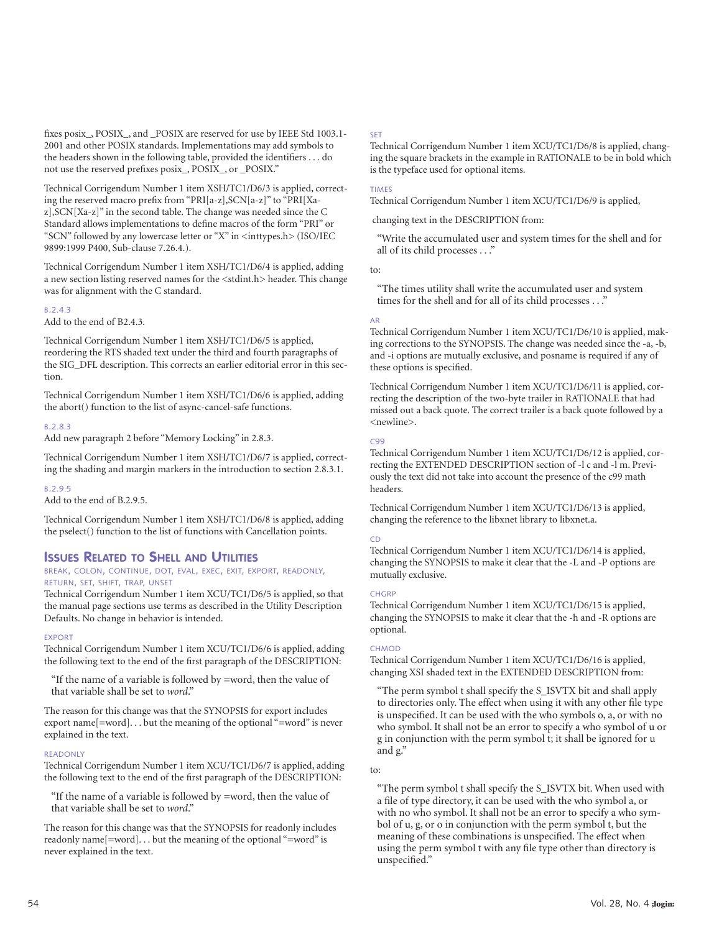fixes posix, POSIX, and POSIX are reserved for use by IEEE Std 1003.1-2001 and other POSIX standards. Implementations may add symbols to the headers shown in the following table, provided the identifiers . . . do not use the reserved prefixes posix\_, POSIX\_, or \_POSIX."

Technical Corrigendum Number 1 item XSH/TC1/D6/3 is applied, correcting the reserved macro prefix from "PRI[a-z],SCN[a-z]" to "PRI[Xaz],SCN[Xa-z]" in the second table. The change was needed since the C Standard allows implementations to define macros of the form "PRI" or "SCN" followed by any lowercase letter or "X" in <inttypes.h> (ISO/IEC 9899:1999 P400, Sub-clause 7.26.4.).

Technical Corrigendum Number 1 item XSH/TC1/D6/4 is applied, adding a new section listing reserved names for the <stdint.h> header. This change was for alignment with the C standard.

# B.2.4.3

Add to the end of B2.4.3.

Technical Corrigendum Number 1 item XSH/TC1/D6/5 is applied, reordering the RTS shaded text under the third and fourth paragraphs of the SIG\_DFL description. This corrects an earlier editorial error in this section.

Technical Corrigendum Number 1 item XSH/TC1/D6/6 is applied, adding the abort() function to the list of async-cancel-safe functions.

# B.2.8.3

Add new paragraph 2 before "Memory Locking" in 2.8.3.

Technical Corrigendum Number 1 item XSH/TC1/D6/7 is applied, correcting the shading and margin markers in the introduction to section 2.8.3.1.

# B.2.9.5

Add to the end of B.2.9.5.

Technical Corrigendum Number 1 item XSH/TC1/D6/8 is applied, adding the pselect() function to the list of functions with Cancellation points.

# **ISSUES RELATED TO SHELL AND UTILITIES**

# BREAK, COLON, CONTINUE, DOT, EVAL, EXEC, EXIT, EXPORT, READONLY, RETURN, SET, SHIFT, TRAP, UNSET

Technical Corrigendum Number 1 item XCU/TC1/D6/5 is applied, so that the manual page sections use terms as described in the Utility Description Defaults. No change in behavior is intended.

# EXPORT

Technical Corrigendum Number 1 item XCU/TC1/D6/6 is applied, adding the following text to the end of the first paragraph of the DESCRIPTION:

"If the name of a variable is followed by =word, then the value of that variable shall be set to *word*."

The reason for this change was that the SYNOPSIS for export includes export name[=word]. . . but the meaning of the optional "=word" is never explained in the text.

# READONLY

Technical Corrigendum Number 1 item XCU/TC1/D6/7 is applied, adding the following text to the end of the first paragraph of the DESCRIPTION:

"If the name of a variable is followed by =word, then the value of that variable shall be set to *word*."

The reason for this change was that the SYNOPSIS for readonly includes readonly name[=word]... but the meaning of the optional "=word" is never explained in the text.

#### SET

Technical Corrigendum Number 1 item XCU/TC1/D6/8 is applied, changing the square brackets in the example in RATIONALE to be in bold which is the typeface used for optional items.

#### TIMES

Technical Corrigendum Number 1 item XCU/TC1/D6/9 is applied,

changing text in the DESCRIPTION from:

"Write the accumulated user and system times for the shell and for all of its child processes . . ."

# to:

"The times utility shall write the accumulated user and system times for the shell and for all of its child processes . . ."

#### AR

Technical Corrigendum Number 1 item XCU/TC1/D6/10 is applied, making corrections to the SYNOPSIS. The change was needed since the -a, -b, and -i options are mutually exclusive, and posname is required if any of these options is specified.

Technical Corrigendum Number 1 item XCU/TC1/D6/11 is applied, correcting the description of the two-byte trailer in RATIONALE that had missed out a back quote. The correct trailer is a back quote followed by a <newline>.

# $C99$

Technical Corrigendum Number 1 item XCU/TC1/D6/12 is applied, correcting the EXTENDED DESCRIPTION section of -l c and -l m. Previously the text did not take into account the presence of the c99 math headers.

Technical Corrigendum Number 1 item XCU/TC1/D6/13 is applied, changing the reference to the libxnet library to libxnet.a.

# CD

Technical Corrigendum Number 1 item XCU/TC1/D6/14 is applied, changing the SYNOPSIS to make it clear that the -L and -P options are mutually exclusive.

#### **CHGRP**

Technical Corrigendum Number 1 item XCU/TC1/D6/15 is applied, changing the SYNOPSIS to make it clear that the -h and -R options are optional.

# **CHMOD**

Technical Corrigendum Number 1 item XCU/TC1/D6/16 is applied, changing XSI shaded text in the EXTENDED DESCRIPTION from:

"The perm symbol t shall specify the S\_ISVTX bit and shall apply to directories only. The effect when using it with any other file type is unspecified. It can be used with the who symbols o, a, or with no who symbol. It shall not be an error to specify a who symbol of u or g in conjunction with the perm symbol t; it shall be ignored for u and g."

# to:

"The perm symbol t shall specify the S\_ISVTX bit. When used with a file of type directory, it can be used with the who symbol a, or with no who symbol. It shall not be an error to specify a who symbol of u, g, or o in conjunction with the perm symbol t, but the meaning of these combinations is unspecified. The effect when using the perm symbol t with any file type other than directory is unspecified."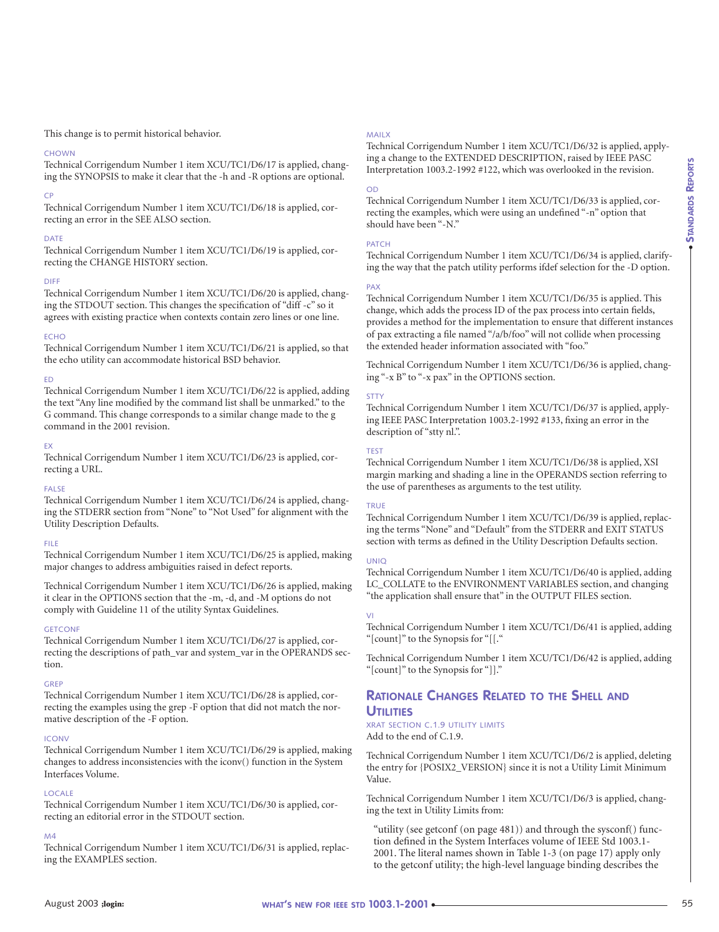# This change is to permit historical behavior.

# **CHOWN**

Technical Corrigendum Number 1 item XCU/TC1/D6/17 is applied, changing the SYNOPSIS to make it clear that the -h and -R options are optional.

# CP

Technical Corrigendum Number 1 item XCU/TC1/D6/18 is applied, correcting an error in the SEE ALSO section.

# DATE

Technical Corrigendum Number 1 item XCU/TC1/D6/19 is applied, correcting the CHANGE HISTORY section.

# DIFF

Technical Corrigendum Number 1 item XCU/TC1/D6/20 is applied, changing the STDOUT section. This changes the specification of "diff -c" so it agrees with existing practice when contexts contain zero lines or one line.

# **ECHO**

Technical Corrigendum Number 1 item XCU/TC1/D6/21 is applied, so that the echo utility can accommodate historical BSD behavior.

# ED

Technical Corrigendum Number 1 item XCU/TC1/D6/22 is applied, adding the text "Any line modified by the command list shall be unmarked." to the G command. This change corresponds to a similar change made to the g command in the 2001 revision.

# EX

Technical Corrigendum Number 1 item XCU/TC1/D6/23 is applied, correcting a URL.

# FALSE

Technical Corrigendum Number 1 item XCU/TC1/D6/24 is applied, changing the STDERR section from "None" to "Not Used" for alignment with the Utility Description Defaults.

# FILE

Technical Corrigendum Number 1 item XCU/TC1/D6/25 is applied, making major changes to address ambiguities raised in defect reports.

Technical Corrigendum Number 1 item XCU/TC1/D6/26 is applied, making it clear in the OPTIONS section that the -m, -d, and -M options do not comply with Guideline 11 of the utility Syntax Guidelines.

# **GETCONF**

Technical Corrigendum Number 1 item XCU/TC1/D6/27 is applied, correcting the descriptions of path\_var and system\_var in the OPERANDS section.

# GREP

Technical Corrigendum Number 1 item XCU/TC1/D6/28 is applied, correcting the examples using the grep -F option that did not match the normative description of the -F option.

# **ICONV**

Technical Corrigendum Number 1 item XCU/TC1/D6/29 is applied, making changes to address inconsistencies with the iconv() function in the System Interfaces Volume.

# LOCALE

Technical Corrigendum Number 1 item XCU/TC1/D6/30 is applied, correcting an editorial error in the STDOUT section.

# M4

Technical Corrigendum Number 1 item XCU/TC1/D6/31 is applied, replacing the EXAMPLES section.

# MAILX

Technical Corrigendum Number 1 item XCU/TC1/D6/32 is applied, applying a change to the EXTENDED DESCRIPTION, raised by IEEE PASC Interpretation 1003.2-1992 #122, which was overlooked in the revision.

# OD

Technical Corrigendum Number 1 item XCU/TC1/D6/33 is applied, correcting the examples, which were using an undefined "-n" option that should have been "-N."

# PATCH

Technical Corrigendum Number 1 item XCU/TC1/D6/34 is applied, clarifying the way that the patch utility performs ifdef selection for the -D option.

# PAX

Technical Corrigendum Number 1 item XCU/TC1/D6/35 is applied. This change, which adds the process ID of the pax process into certain fields, provides a method for the implementation to ensure that different instances of pax extracting a file named "/a/b/foo" will not collide when processing the extended header information associated with "foo."

Technical Corrigendum Number 1 item XCU/TC1/D6/36 is applied, changing "-x B" to "-x pax" in the OPTIONS section.

# STTY

Technical Corrigendum Number 1 item XCU/TC1/D6/37 is applied, applying IEEE PASC Interpretation 1003.2-1992 #133, fixing an error in the description of "stty nl.".

# TEST

Technical Corrigendum Number 1 item XCU/TC1/D6/38 is applied, XSI margin marking and shading a line in the OPERANDS section referring to the use of parentheses as arguments to the test utility.

# TRUE

Technical Corrigendum Number 1 item XCU/TC1/D6/39 is applied, replacing the terms "None" and "Default" from the STDERR and EXIT STATUS section with terms as defined in the Utility Description Defaults section.

# UNIQ

Technical Corrigendum Number 1 item XCU/TC1/D6/40 is applied, adding LC\_COLLATE to the ENVIRONMENT VARIABLES section, and changing "the application shall ensure that" in the OUTPUT FILES section.

# VI

Technical Corrigendum Number 1 item XCU/TC1/D6/41 is applied, adding "[count]" to the Synopsis for "[[."

Technical Corrigendum Number 1 item XCU/TC1/D6/42 is applied, adding "[count]" to the Synopsis for "]]."

# **RATIONALE CHANGES RELATED TO THE SHELL AND UTILITIES**

# XRAT SECTION C.1.9 UTILITY LIMITS Add to the end of C.1.9.

Technical Corrigendum Number 1 item XCU/TC1/D6/2 is applied, deleting the entry for {POSIX2\_VERSION} since it is not a Utility Limit Minimum Value.

Technical Corrigendum Number 1 item XCU/TC1/D6/3 is applied, changing the text in Utility Limits from:

"utility (see getconf (on page 481)) and through the sysconf() function defined in the System Interfaces volume of IEEE Std 1003.1- 2001. The literal names shown in Table 1-3 (on page 17) apply only to the getconf utility; the high-level language binding describes the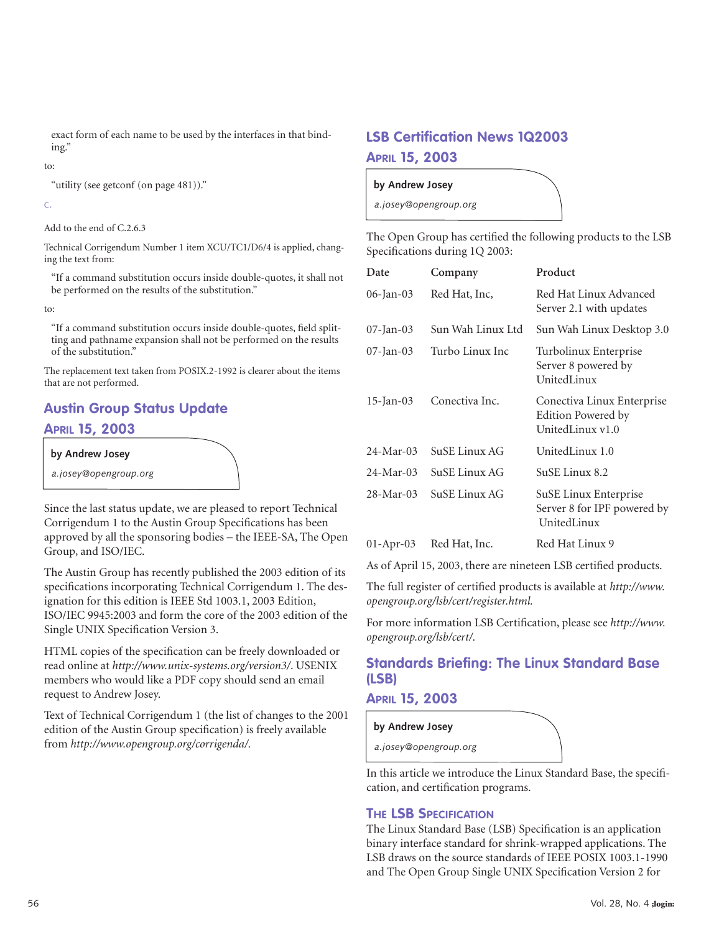exact form of each name to be used by the interfaces in that binding."

# to:

"utility (see getconf (on page 481))."

# C.

Add to the end of C.2.6.3

Technical Corrigendum Number 1 item XCU/TC1/D6/4 is applied, changing the text from:

"If a command substitution occurs inside double-quotes, it shall not be performed on the results of the substitution."

to:

"If a command substitution occurs inside double-quotes, field splitting and pathname expansion shall not be performed on the results of the substitution."

The replacement text taken from POSIX.2-1992 is clearer about the items that are not performed.

# **Austin Group Status Update APRIL 15, 2003**

# **by Andrew Josey**

*a.josey@opengroup.org*

Since the last status update, we are pleased to report Technical Corrigendum 1 to the Austin Group Specifications has been approved by all the sponsoring bodies – the IEEE-SA, The Open Group, and ISO/IEC.

The Austin Group has recently published the 2003 edition of its specifications incorporating Technical Corrigendum 1. The designation for this edition is IEEE Std 1003.1, 2003 Edition, ISO/IEC 9945:2003 and form the core of the 2003 edition of the Single UNIX Specification Version 3.

HTML copies of the specification can be freely downloaded or read online at *<http://www.unix-systems.org/version3/>*. USENIX members who would like a PDF copy should send an email request to Andrew Josey.

Text of Technical Corrigendum 1 (the list of changes to the 2001 edition of the Austin Group specification) is freely available from *[http://www.opengroup.org/corrigenda/.](http://www.opengroup.org/corrigenda/)*

# **LSB Certification News 1Q2003 APRIL 15, 2003**

**by Andrew Josey** 

*a.josey@opengroup.org*

The Open Group has certified the following products to the LSB Specifications during 1Q 2003:

| Date            | Company           | Product                                                              |
|-----------------|-------------------|----------------------------------------------------------------------|
| 06-Jan-03       | Red Hat, Inc,     | Red Hat Linux Advanced<br>Server 2.1 with updates                    |
| $07$ -Jan- $03$ | Sun Wah Linux Ltd | Sun Wah Linux Desktop 3.0                                            |
| $07$ -Jan- $03$ | Turbo Linux Inc   | Turbolinux Enterprise<br>Server 8 powered by<br>UnitedLinux          |
| $15$ -Jan-03    | Conectiva Inc.    | Conectiva Linux Enterprise<br>Edition Powered by<br>UnitedLinux v1.0 |
| $24-Mar-03$     | SuSE Linux AG     | UnitedLinux 1.0                                                      |
| $24-Mar-03$     | SuSE Linux AG     | SuSE Linux 8.2                                                       |
| $28-Mar-03$     | SuSE Linux AG     | SuSE Linux Enterprise<br>Server 8 for IPF powered by<br>UnitedLinux  |
| $01-Apr-03$     | Red Hat, Inc.     | Red Hat Linux 9                                                      |

As of April 15, 2003, there are nineteen LSB certified products.

The full register of certified products is available at *[http://www.](http://www) opengroup.org/lsb/cert/register.html.*

For more information LSB Certification, please see *[http://www.](http://www) opengroup.org/lsb/cert/.*

# **Standards Briefing: The Linux Standard Base (LSB)**

# **APRIL 15, 2003**

# *a.josey@opengroup.org* **by Andrew Josey**

In this article we introduce the Linux Standard Base, the specification, and certification programs.

# **THE LSB SPECIFICATION**

The Linux Standard Base (LSB) Specification is an application binary interface standard for shrink-wrapped applications. The LSB draws on the source standards of IEEE POSIX 1003.1-1990 and The Open Group Single UNIX Specification Version 2 for